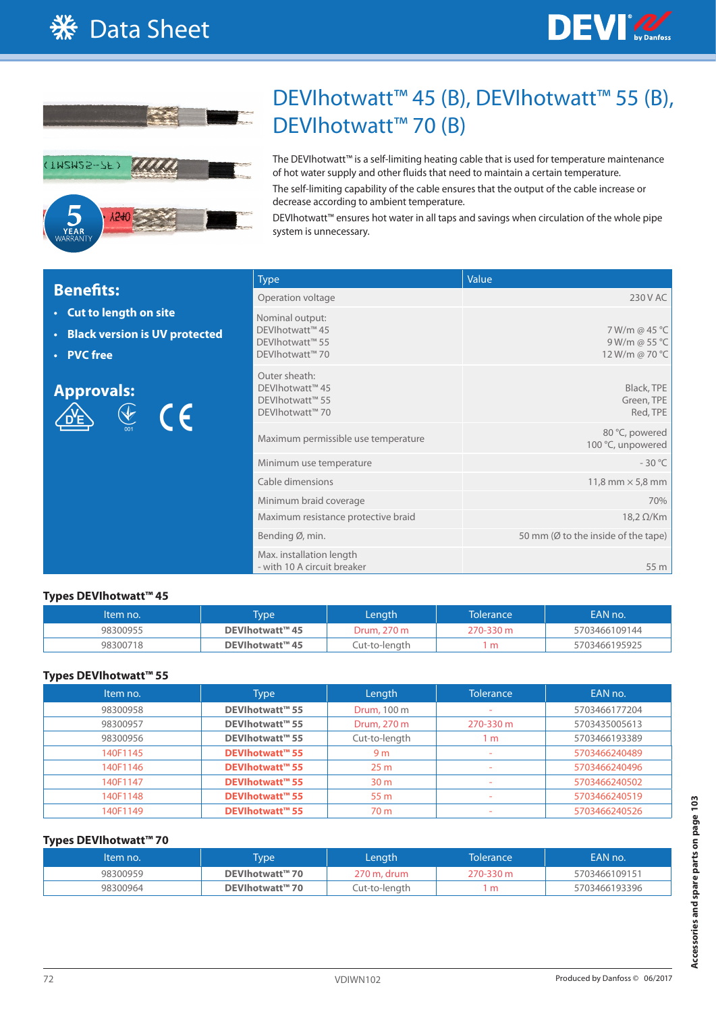



# DEVIhotwatt™ 45 (B), DEVIhotwatt™ 55 (B), DEVIhotwatt<sup>™</sup> 70 (B)

The DEVIhotwatt™ is a self-limiting heating cable that is used for temperature maintenance of hot water supply and other fluids that need to maintain a certain temperature.

The self-limiting capability of the cable ensures that the output of the cable increase or decrease according to ambient temperature.

DEVIhotwatt™ ensures hot water in all taps and savings when circulation of the whole pipe system is unnecessary.

|                                                                                            | <b>Type</b>                                                              | Value                                            |
|--------------------------------------------------------------------------------------------|--------------------------------------------------------------------------|--------------------------------------------------|
| <b>Benefits:</b>                                                                           | Operation voltage                                                        | 230 V AC                                         |
| • Cut to length on site<br><b>Black version is UV protected</b><br>$\bullet$<br>• PVC free | Nominal output:<br>DEVIhotwatt™ 45<br>DEVIhotwatt™ 55<br>DEVIhotwatt™ 70 | 7 W/m @ 45 °C<br>9 W/m @ 55 °C<br>12 W/m @ 70 °C |
| <b>Approvals:</b><br>$\bigotimes$<br>$\epsilon$                                            | Outer sheath:<br>DEVIhotwatt™ 45<br>DEVIhotwatt™ 55<br>DEVIhotwatt™ 70   | Black, TPE<br>Green, TPE<br>Red, TPE             |
|                                                                                            | Maximum permissible use temperature                                      | 80 °C, powered<br>100 °C, unpowered              |
|                                                                                            | Minimum use temperature                                                  | $-30^{\circ}$ C                                  |
|                                                                                            | Cable dimensions                                                         | 11,8 mm $\times$ 5,8 mm                          |
|                                                                                            | Minimum braid coverage                                                   | 70%                                              |
|                                                                                            | Maximum resistance protective braid                                      | $18,2 \Omega/Km$                                 |
|                                                                                            | Bending Ø, min.                                                          | 50 mm (Ø to the inside of the tape)              |
|                                                                                            | Max. installation length<br>- with 10 A circuit breaker                  | 55 m                                             |

### **Types DEVIhotwatt™ 45**

| <b>Item no.</b> | <b>Type</b>     | Length        |           | <b>EAN no.</b> |  |  |
|-----------------|-----------------|---------------|-----------|----------------|--|--|
| 98300955        | DEVIhotwatt™ 45 | Drum, 270 m   | 270-330 m | 5703466109144  |  |  |
| 98300718        | DEVIhotwatt™ 45 | Cut-to-length | m         | 5703466195925  |  |  |

#### **Types DEVIhotwatt™ 55**

| Item no. | <b>Type</b>            | Length             | <b>Tolerance</b> | EAN no.       |
|----------|------------------------|--------------------|------------------|---------------|
| 98300958 | DEVIhotwatt™ 55        | <b>Drum, 100 m</b> |                  | 5703466177204 |
| 98300957 | DEVIhotwatt™ 55        | Drum, 270 m        | 270-330 m        | 5703435005613 |
| 98300956 | DEVIhotwatt™ 55        | Cut-to-length      | 1 m              | 5703466193389 |
| 140F1145 | <b>DEVIhotwatt™ 55</b> | 9 <sub>m</sub>     |                  | 5703466240489 |
| 140F1146 | <b>DEVIhotwatt™ 55</b> | 25 <sub>m</sub>    | -                | 5703466240496 |
| 140F1147 | <b>DEVIhotwatt™ 55</b> | 30 <sub>m</sub>    |                  | 5703466240502 |
| 140F1148 | <b>DEVIhotwatt™ 55</b> | 55 m               | -                | 5703466240519 |
| 140F1149 | <b>DEVIhotwatt™ 55</b> | 70 m               |                  | 5703466240526 |

### **Types DEVIhotwatt™ 70**

| Item no. | <b>Type</b>     | Lenath        | Tolerance | EAN no.       |  |
|----------|-----------------|---------------|-----------|---------------|--|
| 98300959 | DEVIhotwatt™ 70 | 270 m, drum   | 270-330 m | 5703466109151 |  |
| 98300964 | DEVIhotwatt™ 70 | Cut-to-length | m         | 5703466193396 |  |